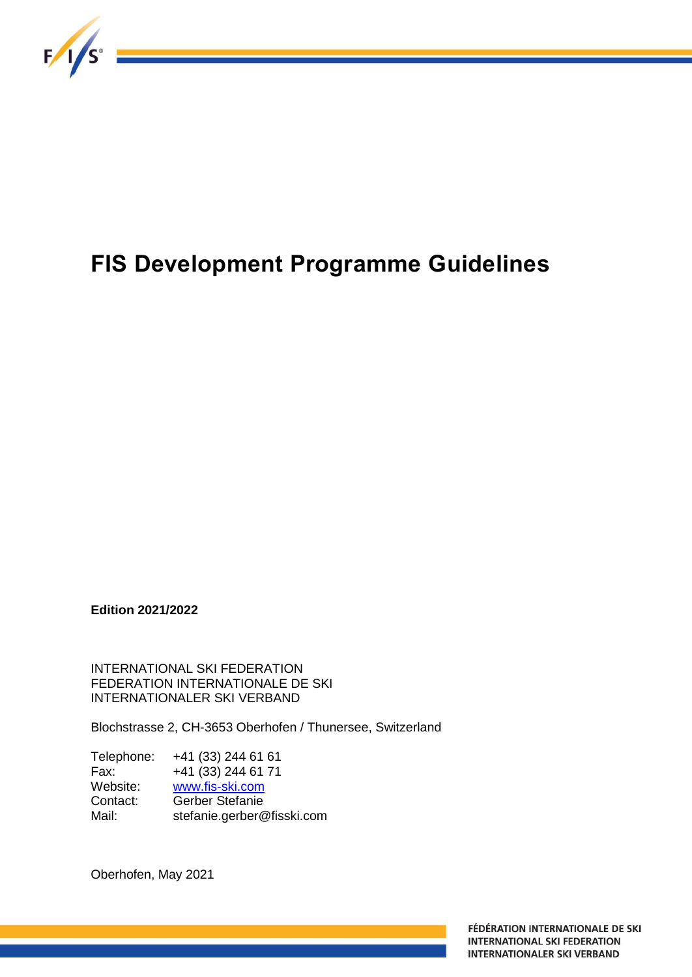

# **FIS Development Programme Guidelines**

**Edition 2021/2022**

INTERNATIONAL SKI FEDERATION FEDERATION INTERNATIONALE DE SKI INTERNATIONALER SKI VERBAND

Blochstrasse 2, CH-3653 Oberhofen / Thunersee, Switzerland

Telephone: +41 (33) 244 61 61 Fax: +41 (33) 244 61 71 Website: [www.fis-ski.com](http://www.fis-ski.com/) Contact: Gerber Stefanie Mail: stefanie.gerber@fisski.com

Oberhofen, May 2021

FÉDÉRATION INTERNATIONALE DE SKI **INTERNATIONAL SKI FEDERATION INTERNATIONALER SKI VERBAND**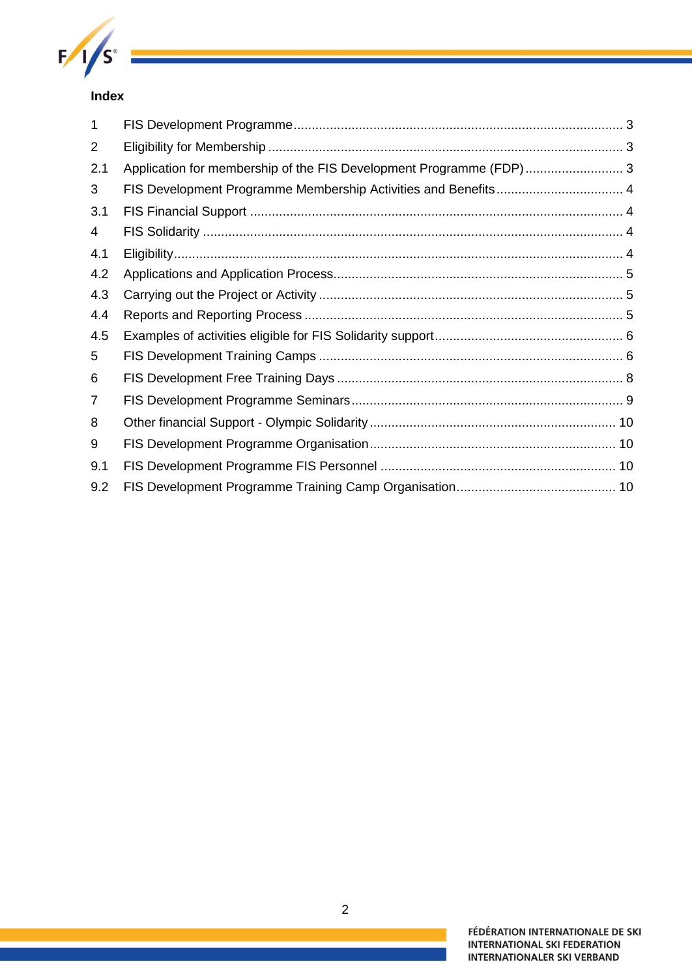

# **Index**

| 1              |                                                                     |  |
|----------------|---------------------------------------------------------------------|--|
| $\overline{2}$ |                                                                     |  |
| 2.1            | Application for membership of the FIS Development Programme (FDP) 3 |  |
| 3              |                                                                     |  |
| 3.1            |                                                                     |  |
| 4              |                                                                     |  |
| 4.1            |                                                                     |  |
| 4.2            |                                                                     |  |
| 4.3            |                                                                     |  |
| 4.4            |                                                                     |  |
| 4.5            |                                                                     |  |
| 5              |                                                                     |  |
| 6              |                                                                     |  |
| 7              |                                                                     |  |
| 8              |                                                                     |  |
| 9              |                                                                     |  |
| 9.1            |                                                                     |  |
| 9.2            |                                                                     |  |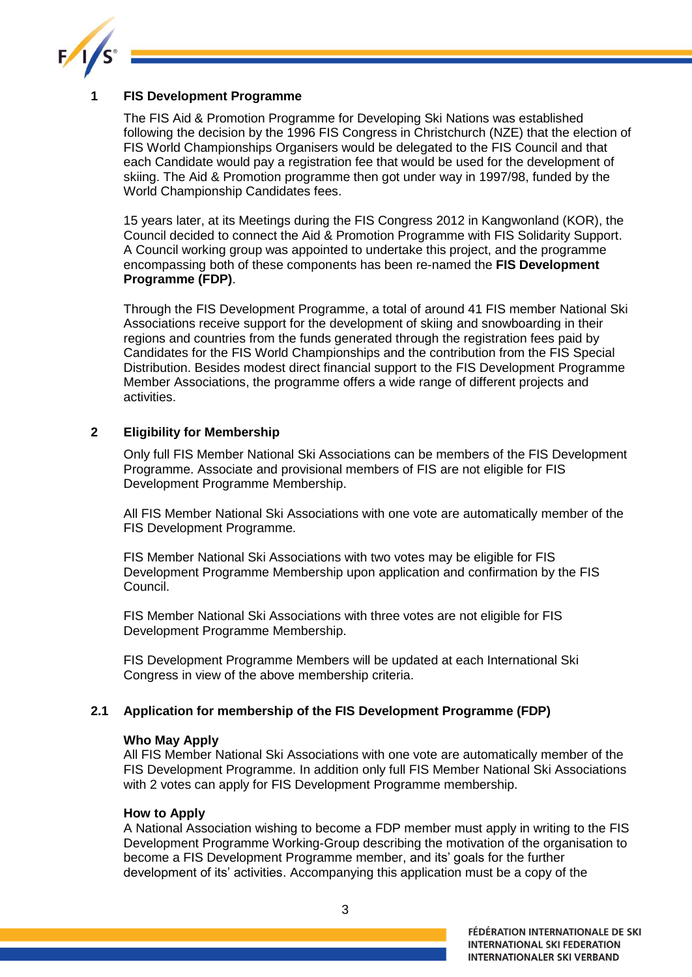

# <span id="page-2-0"></span>**1 FIS Development Programme**

The FIS Aid & Promotion Programme for Developing Ski Nations was established following the decision by the 1996 FIS Congress in Christchurch (NZE) that the election of FIS World Championships Organisers would be delegated to the FIS Council and that each Candidate would pay a registration fee that would be used for the development of skiing. The Aid & Promotion programme then got under way in 1997/98, funded by the World Championship Candidates fees.

15 years later, at its Meetings during the FIS Congress 2012 in Kangwonland (KOR), the Council decided to connect the Aid & Promotion Programme with FIS Solidarity Support. A Council working group was appointed to undertake this project, and the programme encompassing both of these components has been re-named the **FIS Development Programme (FDP)**.

Through the FIS Development Programme, a total of around 41 FIS member National Ski Associations receive support for the development of skiing and snowboarding in their regions and countries from the funds generated through the registration fees paid by Candidates for the FIS World Championships and the contribution from the FIS Special Distribution. Besides modest direct financial support to the FIS Development Programme Member Associations, the programme offers a wide range of different projects and activities.

# <span id="page-2-1"></span>**2 Eligibility for Membership**

Only full FIS Member National Ski Associations can be members of the FIS Development Programme. Associate and provisional members of FIS are not eligible for FIS Development Programme Membership.

All FIS Member National Ski Associations with one vote are automatically member of the FIS Development Programme.

FIS Member National Ski Associations with two votes may be eligible for FIS Development Programme Membership upon application and confirmation by the FIS Council.

FIS Member National Ski Associations with three votes are not eligible for FIS Development Programme Membership.

FIS Development Programme Members will be updated at each International Ski Congress in view of the above membership criteria.

# <span id="page-2-2"></span>**2.1 Application for membership of the FIS Development Programme (FDP)**

#### **Who May Apply**

All FIS Member National Ski Associations with one vote are automatically member of the FIS Development Programme. In addition only full FIS Member National Ski Associations with 2 votes can apply for FIS Development Programme membership.

#### **How to Apply**

A National Association wishing to become a FDP member must apply in writing to the FIS Development Programme Working-Group describing the motivation of the organisation to become a FIS Development Programme member, and its' goals for the further development of its' activities. Accompanying this application must be a copy of the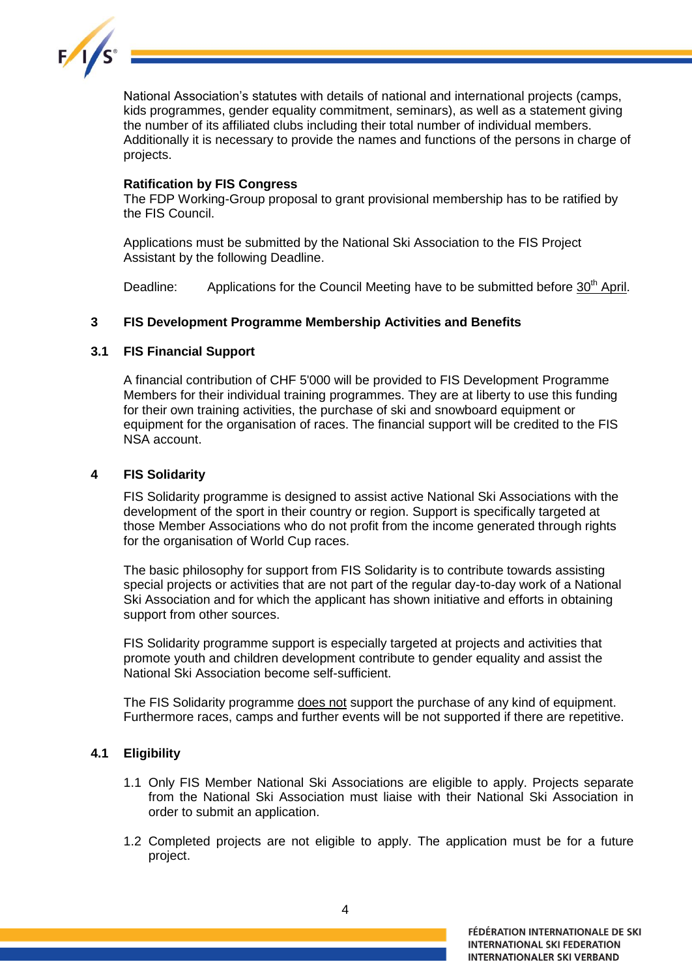

National Association's statutes with details of national and international projects (camps, kids programmes, gender equality commitment, seminars), as well as a statement giving the number of its affiliated clubs including their total number of individual members. Additionally it is necessary to provide the names and functions of the persons in charge of projects.

### **Ratification by FIS Congress**

The FDP Working-Group proposal to grant provisional membership has to be ratified by the FIS Council.

Applications must be submitted by the National Ski Association to the FIS Project Assistant by the following Deadline.

Deadline: Applications for the Council Meeting have to be submitted before 30<sup>th</sup> April.

# <span id="page-3-0"></span>**3 FIS Development Programme Membership Activities and Benefits**

# <span id="page-3-1"></span>**3.1 FIS Financial Support**

A financial contribution of CHF 5'000 will be provided to FIS Development Programme Members for their individual training programmes. They are at liberty to use this funding for their own training activities, the purchase of ski and snowboard equipment or equipment for the organisation of races. The financial support will be credited to the FIS NSA account.

### <span id="page-3-2"></span>**4 FIS Solidarity**

FIS Solidarity programme is designed to assist active National Ski Associations with the development of the sport in their country or region. Support is specifically targeted at those Member Associations who do not profit from the income generated through rights for the organisation of World Cup races.

The basic philosophy for support from FIS Solidarity is to contribute towards assisting special projects or activities that are not part of the regular day-to-day work of a National Ski Association and for which the applicant has shown initiative and efforts in obtaining support from other sources.

FIS Solidarity programme support is especially targeted at projects and activities that promote youth and children development contribute to gender equality and assist the National Ski Association become self-sufficient.

The FIS Solidarity programme does not support the purchase of any kind of equipment. Furthermore races, camps and further events will be not supported if there are repetitive.

# <span id="page-3-3"></span>**4.1 Eligibility**

- 1.1 Only FIS Member National Ski Associations are eligible to apply. Projects separate from the National Ski Association must liaise with their National Ski Association in order to submit an application.
- 1.2 Completed projects are not eligible to apply. The application must be for a future project.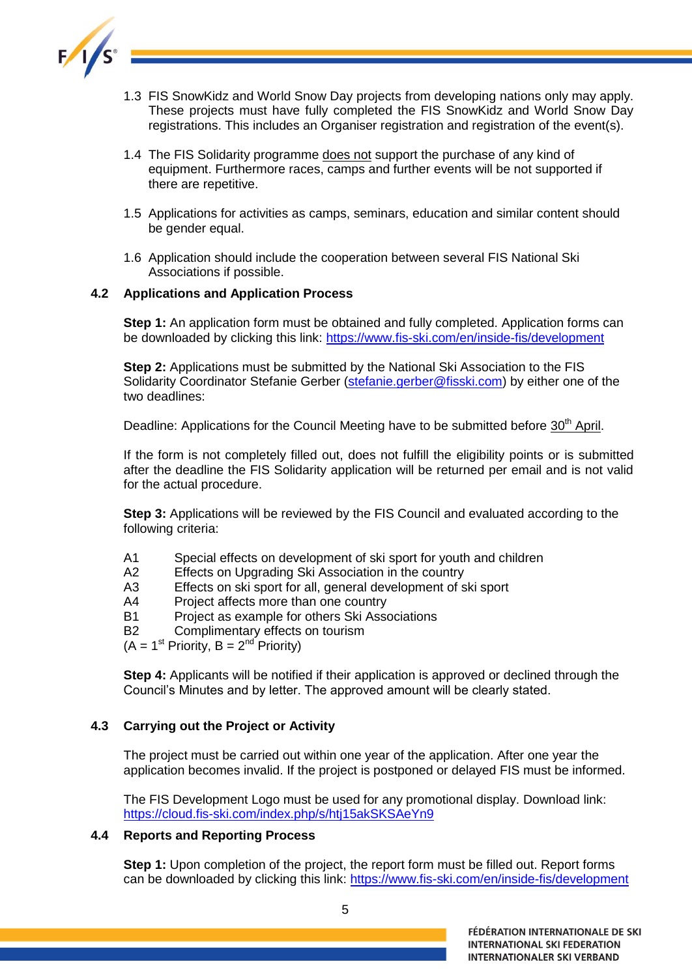

- 1.3 FIS SnowKidz and World Snow Day projects from developing nations only may apply. These projects must have fully completed the FIS SnowKidz and World Snow Day registrations. This includes an Organiser registration and registration of the event(s).
- 1.4 The FIS Solidarity programme does not support the purchase of any kind of equipment. Furthermore races, camps and further events will be not supported if there are repetitive.
- 1.5 Applications for activities as camps, seminars, education and similar content should be gender equal.
- 1.6 Application should include the cooperation between several FIS National Ski Associations if possible.

# <span id="page-4-0"></span>**4.2 Applications and Application Process**

**Step 1:** An application form must be obtained and fully completed. Application forms can be downloaded by clicking this link: <https://www.fis-ski.com/en/inside-fis/development>

**Step 2:** Applications must be submitted by the National Ski Association to the FIS Solidarity Coordinator Stefanie Gerber [\(stefanie.gerber@fisski.com\)](mailto:stefanie.gerber@fisski.com) by either one of the two deadlines:

Deadline: Applications for the Council Meeting have to be submitted before 30<sup>th</sup> April.

If the form is not completely filled out, does not fulfill the eligibility points or is submitted after the deadline the FIS Solidarity application will be returned per email and is not valid for the actual procedure.

**Step 3:** Applications will be reviewed by the FIS Council and evaluated according to the following criteria:

- A1 Special effects on development of ski sport for youth and children
- A2 Effects on Upgrading Ski Association in the country
- A3 Effects on ski sport for all, general development of ski sport
- A4 Project affects more than one country
- B1 Project as example for others Ski Associations
- B2 Complimentary effects on tourism

 $(A = 1<sup>st</sup>$  Priority,  $B = 2<sup>nd</sup>$  Priority)

**Step 4:** Applicants will be notified if their application is approved or declined through the Council's Minutes and by letter. The approved amount will be clearly stated.

# <span id="page-4-1"></span>**4.3 Carrying out the Project or Activity**

The project must be carried out within one year of the application. After one year the application becomes invalid. If the project is postponed or delayed FIS must be informed.

The FIS Development Logo must be used for any promotional display. Download link: <https://cloud.fis-ski.com/index.php/s/htj15akSKSAeYn9>

#### <span id="page-4-2"></span>**4.4 Reports and Reporting Process**

**Step 1:** Upon completion of the project, the report form must be filled out. Report forms can be downloaded by clicking this link:<https://www.fis-ski.com/en/inside-fis/development>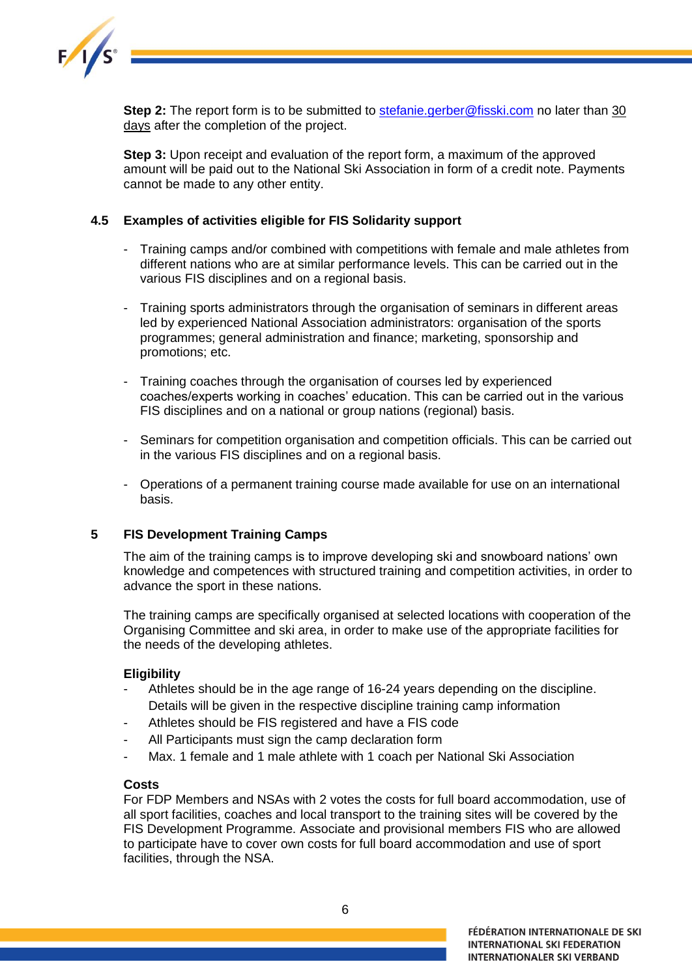

**Step 2:** The report form is to be submitted to [stefanie.gerber@fisski.com](mailto:stefanie.gerber@fisski.com) no later than 30 days after the completion of the project.

**Step 3:** Upon receipt and evaluation of the report form, a maximum of the approved amount will be paid out to the National Ski Association in form of a credit note. Payments cannot be made to any other entity.

# <span id="page-5-0"></span>**4.5 Examples of activities eligible for FIS Solidarity support**

- Training camps and/or combined with competitions with female and male athletes from different nations who are at similar performance levels. This can be carried out in the various FIS disciplines and on a regional basis.
- Training sports administrators through the organisation of seminars in different areas led by experienced National Association administrators: organisation of the sports programmes; general administration and finance; marketing, sponsorship and promotions; etc.
- Training coaches through the organisation of courses led by experienced coaches/experts working in coaches' education. This can be carried out in the various FIS disciplines and on a national or group nations (regional) basis.
- Seminars for competition organisation and competition officials. This can be carried out in the various FIS disciplines and on a regional basis.
- Operations of a permanent training course made available for use on an international basis.

# <span id="page-5-1"></span>**5 FIS Development Training Camps**

The aim of the training camps is to improve developing ski and snowboard nations' own knowledge and competences with structured training and competition activities, in order to advance the sport in these nations.

The training camps are specifically organised at selected locations with cooperation of the Organising Committee and ski area, in order to make use of the appropriate facilities for the needs of the developing athletes.

# **Eligibility**

- Athletes should be in the age range of 16-24 years depending on the discipline. Details will be given in the respective discipline training camp information
- Athletes should be FIS registered and have a FIS code
- All Participants must sign the camp declaration form
- Max. 1 female and 1 male athlete with 1 coach per National Ski Association

#### **Costs**

For FDP Members and NSAs with 2 votes the costs for full board accommodation, use of all sport facilities, coaches and local transport to the training sites will be covered by the FIS Development Programme. Associate and provisional members FIS who are allowed to participate have to cover own costs for full board accommodation and use of sport facilities, through the NSA.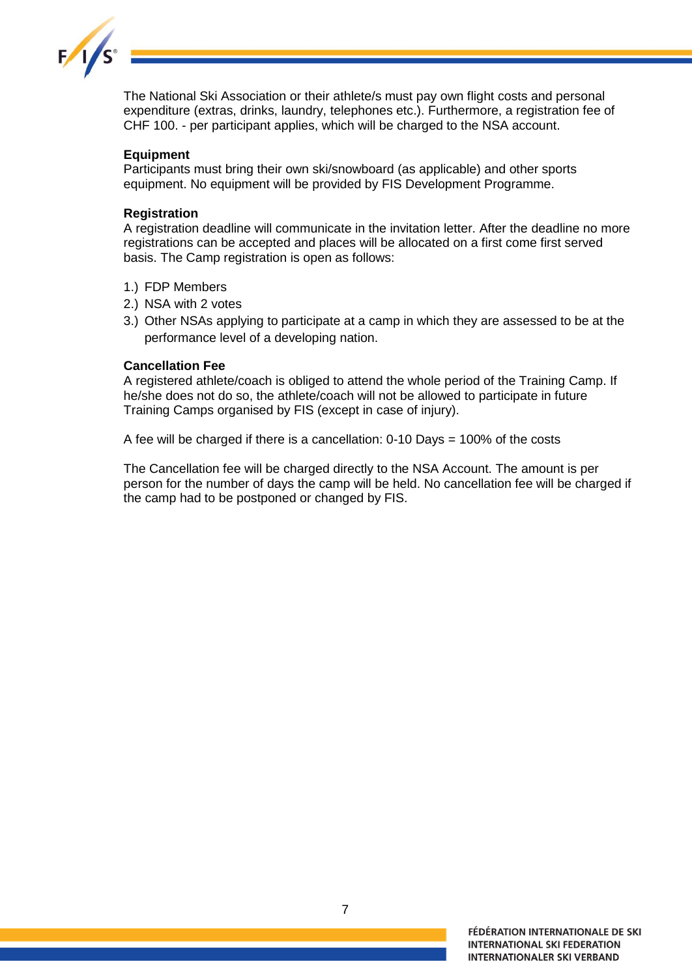

The National Ski Association or their athlete/s must pay own flight costs and personal expenditure (extras, drinks, laundry, telephones etc.). Furthermore, a registration fee of CHF 100. - per participant applies, which will be charged to the NSA account.

# **Equipment**

Participants must bring their own ski/snowboard (as applicable) and other sports equipment. No equipment will be provided by FIS Development Programme.

#### **Registration**

A registration deadline will communicate in the invitation letter. After the deadline no more registrations can be accepted and places will be allocated on a first come first served basis. The Camp registration is open as follows:

- 1.) FDP Members
- 2.) NSA with 2 votes
- 3.) Other NSAs applying to participate at a camp in which they are assessed to be at the performance level of a developing nation.

#### **Cancellation Fee**

A registered athlete/coach is obliged to attend the whole period of the Training Camp. If he/she does not do so, the athlete/coach will not be allowed to participate in future Training Camps organised by FIS (except in case of injury).

A fee will be charged if there is a cancellation: 0-10 Days = 100% of the costs

The Cancellation fee will be charged directly to the NSA Account. The amount is per person for the number of days the camp will be held. No cancellation fee will be charged if the camp had to be postponed or changed by FIS.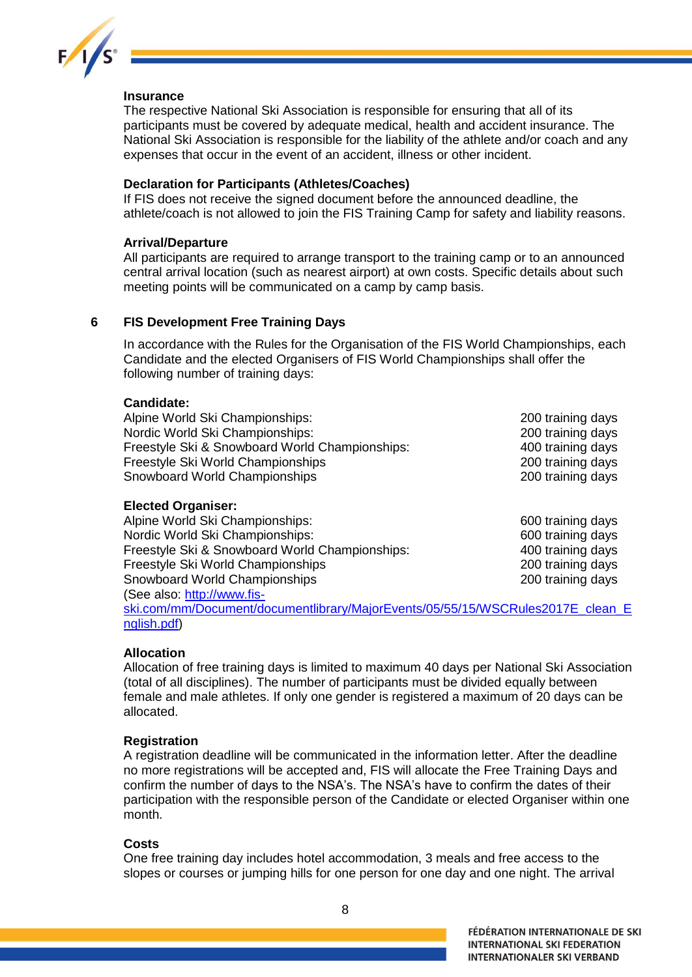

# **Insurance**

The respective National Ski Association is responsible for ensuring that all of its participants must be covered by adequate medical, health and accident insurance. The National Ski Association is responsible for the liability of the athlete and/or coach and any expenses that occur in the event of an accident, illness or other incident.

### **Declaration for Participants (Athletes/Coaches)**

If FIS does not receive the signed document before the announced deadline, the athlete/coach is not allowed to join the FIS Training Camp for safety and liability reasons.

#### **Arrival/Departure**

All participants are required to arrange transport to the training camp or to an announced central arrival location (such as nearest airport) at own costs. Specific details about such meeting points will be communicated on a camp by camp basis.

### <span id="page-7-0"></span>**6 FIS Development Free Training Days**

In accordance with the Rules for the Organisation of the FIS World Championships, each Candidate and the elected Organisers of FIS World Championships shall offer the following number of training days:

#### **Candidate:**

| Alpine World Ski Championships:                | 200 training days |
|------------------------------------------------|-------------------|
| Nordic World Ski Championships:                | 200 training days |
| Freestyle Ski & Snowboard World Championships: | 400 training days |
| Freestyle Ski World Championships              | 200 training days |
| Snowboard World Championships                  | 200 training days |
|                                                |                   |

#### **Elected Organiser:**

| Alpine World Ski Championships:                | 600 training days |
|------------------------------------------------|-------------------|
| Nordic World Ski Championships:                | 600 training days |
| Freestyle Ski & Snowboard World Championships: | 400 training days |
| Freestyle Ski World Championships              | 200 training days |
| Snowboard World Championships                  | 200 training days |
| (See also: http://www.fis-                     |                   |
|                                                |                   |

[ski.com/mm/Document/documentlibrary/MajorEvents/05/55/15/WSCRules2017E\\_clean\\_E](http://www.fis-ski.com/mm/Document/documentlibrary/MajorEvents/05/55/15/WSCRules2017E_clean_English.pdf) [nglish.pdf\)](http://www.fis-ski.com/mm/Document/documentlibrary/MajorEvents/05/55/15/WSCRules2017E_clean_English.pdf)

#### **Allocation**

Allocation of free training days is limited to maximum 40 days per National Ski Association (total of all disciplines). The number of participants must be divided equally between female and male athletes. If only one gender is registered a maximum of 20 days can be allocated.

#### **Registration**

A registration deadline will be communicated in the information letter. After the deadline no more registrations will be accepted and, FIS will allocate the Free Training Days and confirm the number of days to the NSA's. The NSA's have to confirm the dates of their participation with the responsible person of the Candidate or elected Organiser within one month.

#### **Costs**

One free training day includes hotel accommodation, 3 meals and free access to the slopes or courses or jumping hills for one person for one day and one night. The arrival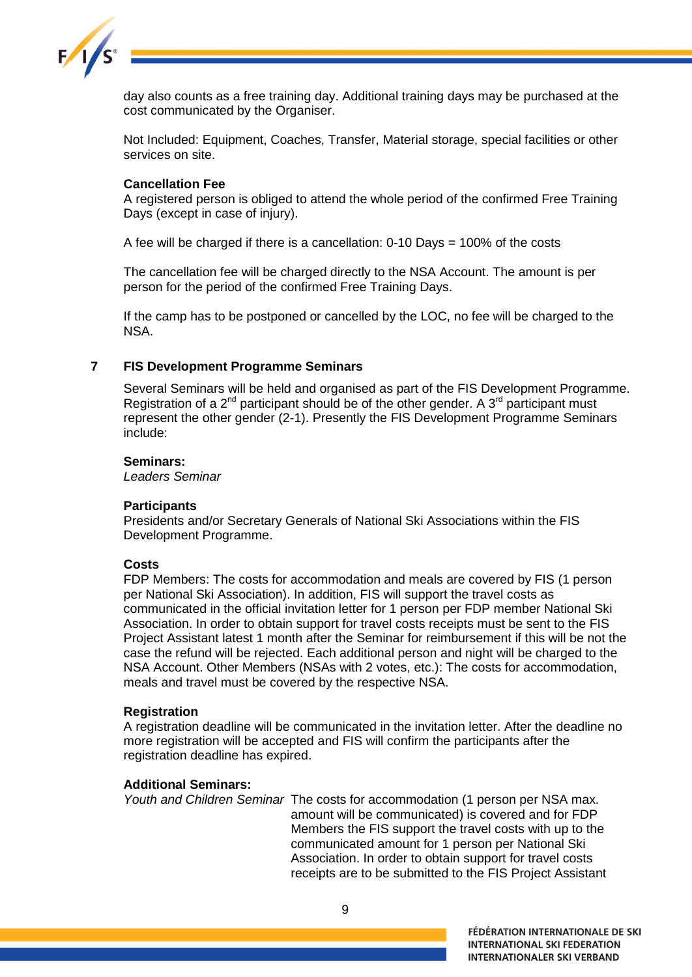

day also counts as a free training day. Additional training days may be purchased at the cost communicated by the Organiser.

Not Included: Equipment, Coaches, Transfer, Material storage, special facilities or other services on site.

### **Cancellation Fee**

A registered person is obliged to attend the whole period of the confirmed Free Training Days (except in case of injury).

A fee will be charged if there is a cancellation: 0-10 Days = 100% of the costs

The cancellation fee will be charged directly to the NSA Account. The amount is per person for the period of the confirmed Free Training Days.

If the camp has to be postponed or cancelled by the LOC, no fee will be charged to the NSA.

### <span id="page-8-0"></span>**7 FIS Development Programme Seminars**

Several Seminars will be held and organised as part of the FIS Development Programme. Registration of a  $2^{nd}$  participant should be of the other gender. A  $3^{rd}$  participant must represent the other gender (2-1). Presently the FIS Development Programme Seminars include:

#### **Seminars:**

*Leaders Seminar*

#### **Participants**

Presidents and/or Secretary Generals of National Ski Associations within the FIS Development Programme.

#### **Costs**

FDP Members: The costs for accommodation and meals are covered by FIS (1 person per National Ski Association). In addition, FIS will support the travel costs as communicated in the official invitation letter for 1 person per FDP member National Ski Association. In order to obtain support for travel costs receipts must be sent to the FIS Project Assistant latest 1 month after the Seminar for reimbursement if this will be not the case the refund will be rejected. Each additional person and night will be charged to the NSA Account. Other Members (NSAs with 2 votes, etc.): The costs for accommodation, meals and travel must be covered by the respective NSA.

#### **Registration**

A registration deadline will be communicated in the invitation letter. After the deadline no more registration will be accepted and FIS will confirm the participants after the registration deadline has expired.

#### **Additional Seminars:**

*Youth and Children Seminar* The costs for accommodation (1 person per NSA max. amount will be communicated) is covered and for FDP Members the FIS support the travel costs with up to the communicated amount for 1 person per National Ski Association. In order to obtain support for travel costs receipts are to be submitted to the FIS Project Assistant